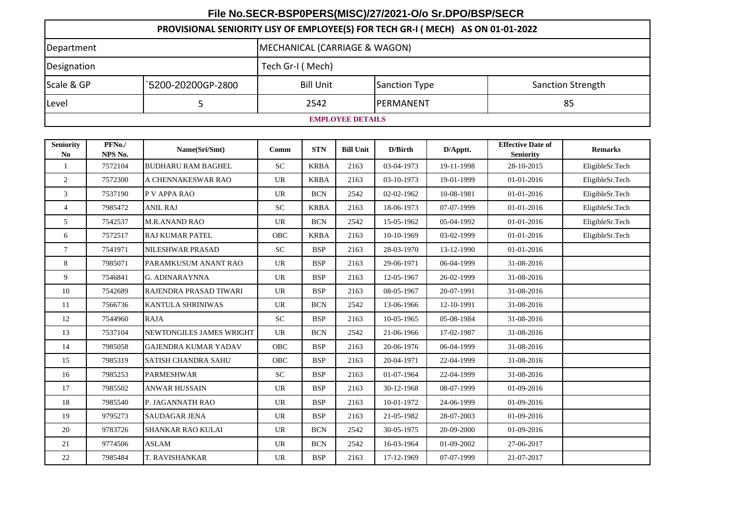## **File No.SECR-BSP0PERS(MISC)/27/2021-O/o Sr.DPO/BSP/SECR**

## **PROVISIONAL SENIORITY LISY OF EMPLOYEE(S) FOR TECH GR-I ( MECH) AS ON 01-01-2022**

| Department              |                    | MECHANICAL (CARRIAGE & WAGON) |                   |                          |  |  |  |  |  |
|-------------------------|--------------------|-------------------------------|-------------------|--------------------------|--|--|--|--|--|
| Designation             |                    | Tech Gr-I (Mech)              |                   |                          |  |  |  |  |  |
| Scale & GP              | `5200-20200GP-2800 | <b>Bill Unit</b>              | Sanction Type     | <b>Sanction Strength</b> |  |  |  |  |  |
| Level                   |                    | 2542                          | <b>IPERMANENT</b> | 85                       |  |  |  |  |  |
| <b>EMPLOYEE DETAILS</b> |                    |                               |                   |                          |  |  |  |  |  |

| <b>Seniority</b><br>N <sub>0</sub> | PFNo./<br>NPS No. | Name(Sri/Smt)               | Comm       | <b>STN</b>  | <b>Bill Unit</b> | D/Birth    | D/Apptt.   | <b>Effective Date of</b><br><b>Seniority</b> | <b>Remarks</b>  |
|------------------------------------|-------------------|-----------------------------|------------|-------------|------------------|------------|------------|----------------------------------------------|-----------------|
| $\mathbf{1}$                       | 7572104           | <b>BUDHARU RAM BAGHEL</b>   | <b>SC</b>  | <b>KRBA</b> | 2163             | 03-04-1973 | 19-11-1998 | 28-10-2015                                   | EligibleSr.Tech |
| 2                                  | 7572300           | A CHENNAKESWAR RAO          | <b>UR</b>  | <b>KRBA</b> | 2163             | 03-10-1973 | 19-01-1999 | 01-01-2016                                   | EligibleSr.Tech |
| 3                                  | 7537190           | P V APPA RAO                | <b>UR</b>  | <b>BCN</b>  | 2542             | 02-02-1962 | 10-08-1981 | 01-01-2016                                   | EligibleSr.Tech |
| $\overline{4}$                     | 7985472           | <b>ANIL RAJ</b>             | <b>SC</b>  | <b>KRBA</b> | 2163             | 18-06-1973 | 07-07-1999 | 01-01-2016                                   | EligibleSr.Tech |
| 5                                  | 7542537           | <b>M.R.ANAND RAO</b>        | <b>UR</b>  | <b>BCN</b>  | 2542             | 15-05-1962 | 05-04-1992 | 01-01-2016                                   | EligibleSr.Tech |
| 6                                  | 7572517           | <b>RAJ KUMAR PATEL</b>      | <b>OBC</b> | <b>KRBA</b> | 2163             | 10-10-1969 | 03-02-1999 | 01-01-2016                                   | EligibleSr.Tech |
| $\tau$                             | 7541971           | <b>NILESHWAR PRASAD</b>     | <b>SC</b>  | <b>BSP</b>  | 2163             | 28-03-1970 | 13-12-1990 | 01-01-2016                                   |                 |
| 8                                  | 7985071           | PARAMKUSUM ANANT RAO        | <b>UR</b>  | <b>BSP</b>  | 2163             | 29-06-1971 | 06-04-1999 | 31-08-2016                                   |                 |
| 9                                  | 7546841           | <b>G. ADINARAYNNA</b>       | <b>UR</b>  | <b>BSP</b>  | 2163             | 12-05-1967 | 26-02-1999 | 31-08-2016                                   |                 |
| 10                                 | 7542689           | RAJENDRA PRASAD TIWARI      | <b>UR</b>  | <b>BSP</b>  | 2163             | 08-05-1967 | 20-07-1991 | 31-08-2016                                   |                 |
| 11                                 | 7566736           | <b>KANTULA SHRINIWAS</b>    | <b>UR</b>  | <b>BCN</b>  | 2542             | 13-06-1966 | 12-10-1991 | 31-08-2016                                   |                 |
| 12                                 | 7544960           | <b>RAJA</b>                 | <b>SC</b>  | <b>BSP</b>  | 2163             | 10-05-1965 | 05-08-1984 | 31-08-2016                                   |                 |
| 13                                 | 7537104           | NEWTONGILES JAMES WRIGHT    | UR         | <b>BCN</b>  | 2542             | 21-06-1966 | 17-02-1987 | 31-08-2016                                   |                 |
| 14                                 | 7985058           | <b>GAJENDRA KUMAR YADAV</b> | OBC        | <b>BSP</b>  | 2163             | 20-06-1976 | 06-04-1999 | 31-08-2016                                   |                 |
| 15                                 | 7985319           | <b>SATISH CHANDRA SAHU</b>  | <b>OBC</b> | <b>BSP</b>  | 2163             | 20-04-1971 | 22-04-1999 | 31-08-2016                                   |                 |
| 16                                 | 7985253           | <b>PARMESHWAR</b>           | <b>SC</b>  | <b>BSP</b>  | 2163             | 01-07-1964 | 22-04-1999 | 31-08-2016                                   |                 |
| 17                                 | 7985502           | <b>ANWAR HUSSAIN</b>        | <b>UR</b>  | <b>BSP</b>  | 2163             | 30-12-1968 | 08-07-1999 | 01-09-2016                                   |                 |
| 18                                 | 7985540           | P. JAGANNATH RAO            | <b>UR</b>  | <b>BSP</b>  | 2163             | 10-01-1972 | 24-06-1999 | 01-09-2016                                   |                 |
| 19                                 | 9795273           | <b>SAUDAGAR JENA</b>        | <b>UR</b>  | <b>BSP</b>  | 2163             | 21-05-1982 | 28-07-2003 | 01-09-2016                                   |                 |
| 20                                 | 9783726           | SHANKAR RAO KULAI           | <b>UR</b>  | <b>BCN</b>  | 2542             | 30-05-1975 | 20-09-2000 | 01-09-2016                                   |                 |
| 21                                 | 9774506           | ASLAM                       | <b>UR</b>  | <b>BCN</b>  | 2542             | 16-03-1964 | 01-09-2002 | 27-06-2017                                   |                 |
| 22                                 | 7985484           | T. RAVISHANKAR              | UR         | <b>BSP</b>  | 2163             | 17-12-1969 | 07-07-1999 | 21-07-2017                                   |                 |